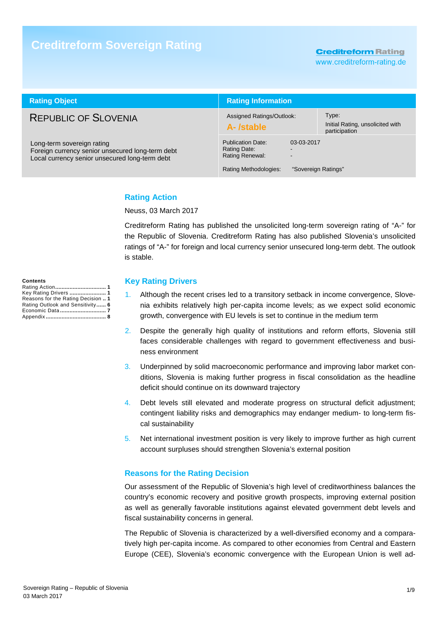# **Creditreform Sovereign Rating**

### **Creditreform Rating**

www.creditreform-rating.de

| <b>Rating Object</b>                                                                                                             | <b>Rating Information</b>                                                                   |                                   |                                                            |  |
|----------------------------------------------------------------------------------------------------------------------------------|---------------------------------------------------------------------------------------------|-----------------------------------|------------------------------------------------------------|--|
| <b>REPUBLIC OF SLOVENIA</b>                                                                                                      | Assigned Ratings/Outlook:<br>A-/stable                                                      |                                   | Type:<br>Initial Rating, unsolicited with<br>participation |  |
| Long-term sovereign rating<br>Foreign currency senior unsecured long-term debt<br>Local currency senior unsecured long-term debt | <b>Publication Date:</b><br>Rating Date:<br><b>Rating Renewal:</b><br>Rating Methodologies: | 03-03-2017<br>"Sovereign Ratings" |                                                            |  |

#### **Rating Action**

Neuss, 03 March 2017

Creditreform Rating has published the unsolicited long-term sovereign rating of "A-" for the Republic of Slovenia. Creditreform Rating has also published Slovenia's unsolicited ratings of "A-" for foreign and local currency senior unsecured long-term debt. The outlook is stable.

#### **Key Rating Drivers**

- 1. Although the recent crises led to a transitory setback in income convergence, Slovenia exhibits relatively high per-capita income levels; as we expect solid economic growth, convergence with EU levels is set to continue in the medium term
- 2. Despite the generally high quality of institutions and reform efforts, Slovenia still faces considerable challenges with regard to government effectiveness and business environment
- 3. Underpinned by solid macroeconomic performance and improving labor market conditions, Slovenia is making further progress in fiscal consolidation as the headline deficit should continue on its downward trajectory
- 4. Debt levels still elevated and moderate progress on structural deficit adjustment; contingent liability risks and demographics may endanger medium- to long-term fiscal sustainability
- 5. Net international investment position is very likely to improve further as high current account surpluses should strengthen Slovenia's external position

#### **Reasons for the Rating Decision**

Our assessment of the Republic of Slovenia's high level of creditworthiness balances the country's economic recovery and positive growth prospects, improving external position as well as generally favorable institutions against elevated government debt levels and fiscal sustainability concerns in general.

The Republic of Slovenia is characterized by a well-diversified economy and a comparatively high per-capita income. As compared to other economies from Central and Eastern Europe (CEE), Slovenia's economic convergence with the European Union is well ad-

#### **Contents**

| Key Rating Drivers  1              |
|------------------------------------|
| Reasons for the Rating Decision  1 |
| Rating Outlook and Sensitivity 6   |
|                                    |
|                                    |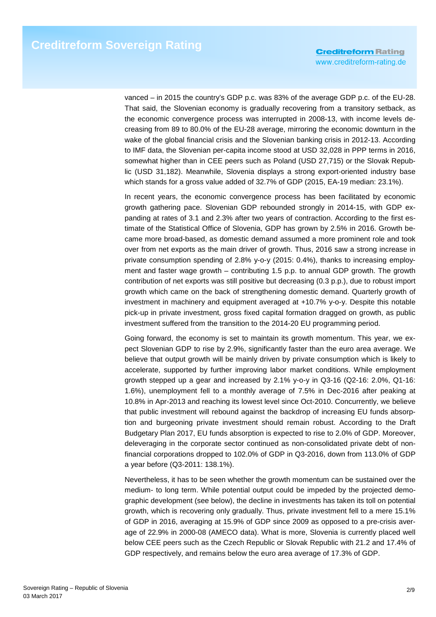vanced – in 2015 the country's GDP p.c. was 83% of the average GDP p.c. of the EU-28. That said, the Slovenian economy is gradually recovering from a transitory setback, as the economic convergence process was interrupted in 2008-13, with income levels decreasing from 89 to 80.0% of the EU-28 average, mirroring the economic downturn in the wake of the global financial crisis and the Slovenian banking crisis in 2012-13. According to IMF data, the Slovenian per-capita income stood at USD 32,028 in PPP terms in 2016, somewhat higher than in CEE peers such as Poland (USD 27,715) or the Slovak Republic (USD 31,182). Meanwhile, Slovenia displays a strong export-oriented industry base which stands for a gross value added of 32.7% of GDP (2015, EA-19 median: 23.1%).

In recent years, the economic convergence process has been facilitated by economic growth gathering pace. Slovenian GDP rebounded strongly in 2014-15, with GDP expanding at rates of 3.1 and 2.3% after two years of contraction. According to the first estimate of the Statistical Office of Slovenia, GDP has grown by 2.5% in 2016. Growth became more broad-based, as domestic demand assumed a more prominent role and took over from net exports as the main driver of growth. Thus, 2016 saw a strong increase in private consumption spending of 2.8% y-o-y (2015: 0.4%), thanks to increasing employment and faster wage growth – contributing 1.5 p.p. to annual GDP growth. The growth contribution of net exports was still positive but decreasing (0.3 p.p.), due to robust import growth which came on the back of strengthening domestic demand. Quarterly growth of investment in machinery and equipment averaged at +10.7% y-o-y. Despite this notable pick-up in private investment, gross fixed capital formation dragged on growth, as public investment suffered from the transition to the 2014-20 EU programming period.

Going forward, the economy is set to maintain its growth momentum. This year, we expect Slovenian GDP to rise by 2.9%, significantly faster than the euro area average. We believe that output growth will be mainly driven by private consumption which is likely to accelerate, supported by further improving labor market conditions. While employment growth stepped up a gear and increased by 2.1% y-o-y in Q3-16 (Q2-16: 2.0%, Q1-16: 1.6%), unemployment fell to a monthly average of 7.5% in Dec-2016 after peaking at 10.8% in Apr-2013 and reaching its lowest level since Oct-2010. Concurrently, we believe that public investment will rebound against the backdrop of increasing EU funds absorption and burgeoning private investment should remain robust. According to the Draft Budgetary Plan 2017, EU funds absorption is expected to rise to 2.0% of GDP. Moreover, deleveraging in the corporate sector continued as non-consolidated private debt of nonfinancial corporations dropped to 102.0% of GDP in Q3-2016, down from 113.0% of GDP a year before (Q3-2011: 138.1%).

Nevertheless, it has to be seen whether the growth momentum can be sustained over the medium- to long term. While potential output could be impeded by the projected demographic development (see below), the decline in investments has taken its toll on potential growth, which is recovering only gradually. Thus, private investment fell to a mere 15.1% of GDP in 2016, averaging at 15.9% of GDP since 2009 as opposed to a pre-crisis average of 22.9% in 2000-08 (AMECO data). What is more, Slovenia is currently placed well below CEE peers such as the Czech Republic or Slovak Republic with 21.2 and 17.4% of GDP respectively, and remains below the euro area average of 17.3% of GDP.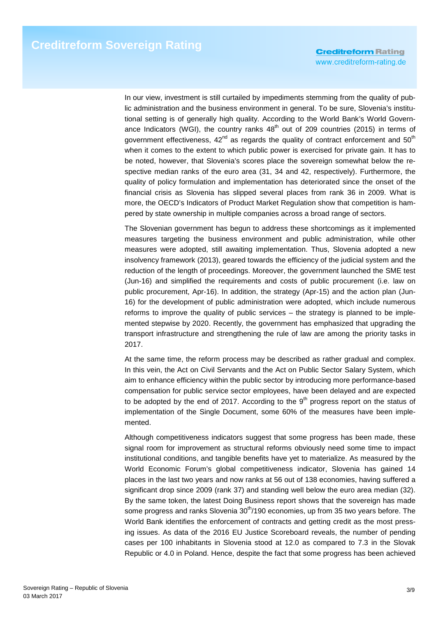In our view, investment is still curtailed by impediments stemming from the quality of public administration and the business environment in general. To be sure, Slovenia's institutional setting is of generally high quality. According to the World Bank's World Governance Indicators (WGI), the country ranks  $48<sup>th</sup>$  out of 209 countries (2015) in terms of government effectiveness,  $42<sup>nd</sup>$  as regards the quality of contract enforcement and  $50<sup>th</sup>$ when it comes to the extent to which public power is exercised for private gain. It has to be noted, however, that Slovenia's scores place the sovereign somewhat below the respective median ranks of the euro area (31, 34 and 42, respectively). Furthermore, the quality of policy formulation and implementation has deteriorated since the onset of the financial crisis as Slovenia has slipped several places from rank 36 in 2009. What is more, the OECD's Indicators of Product Market Regulation show that competition is hampered by state ownership in multiple companies across a broad range of sectors.

The Slovenian government has begun to address these shortcomings as it implemented measures targeting the business environment and public administration, while other measures were adopted, still awaiting implementation. Thus, Slovenia adopted a new insolvency framework (2013), geared towards the efficiency of the judicial system and the reduction of the length of proceedings. Moreover, the government launched the SME test (Jun-16) and simplified the requirements and costs of public procurement (i.e. law on public procurement, Apr-16). In addition, the strategy (Apr-15) and the action plan (Jun-16) for the development of public administration were adopted, which include numerous reforms to improve the quality of public services – the strategy is planned to be implemented stepwise by 2020. Recently, the government has emphasized that upgrading the transport infrastructure and strengthening the rule of law are among the priority tasks in 2017.

At the same time, the reform process may be described as rather gradual and complex. In this vein, the Act on Civil Servants and the Act on Public Sector Salary System, which aim to enhance efficiency within the public sector by introducing more performance-based compensation for public service sector employees, have been delayed and are expected to be adopted by the end of 2017. According to the  $9<sup>th</sup>$  progress report on the status of implementation of the Single Document, some 60% of the measures have been implemented.

Although competitiveness indicators suggest that some progress has been made, these signal room for improvement as structural reforms obviously need some time to impact institutional conditions, and tangible benefits have yet to materialize. As measured by the World Economic Forum's global competitiveness indicator, Slovenia has gained 14 places in the last two years and now ranks at 56 out of 138 economies, having suffered a significant drop since 2009 (rank 37) and standing well below the euro area median (32). By the same token, the latest Doing Business report shows that the sovereign has made some progress and ranks Slovenia 30<sup>th</sup>/190 economies, up from 35 two years before. The World Bank identifies the enforcement of contracts and getting credit as the most pressing issues. As data of the 2016 EU Justice Scoreboard reveals, the number of pending cases per 100 inhabitants in Slovenia stood at 12.0 as compared to 7.3 in the Slovak Republic or 4.0 in Poland. Hence, despite the fact that some progress has been achieved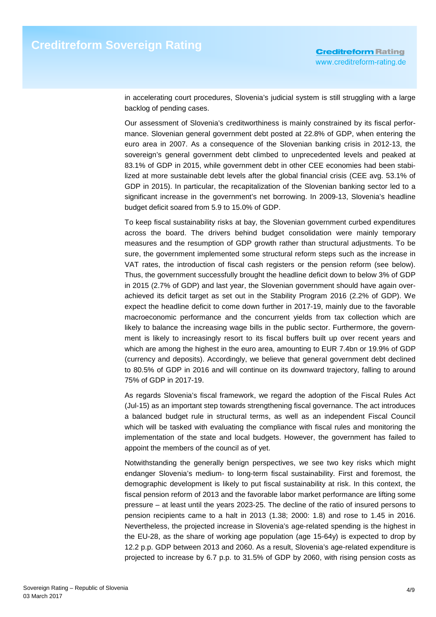in accelerating court procedures, Slovenia's judicial system is still struggling with a large backlog of pending cases.

Our assessment of Slovenia's creditworthiness is mainly constrained by its fiscal performance. Slovenian general government debt posted at 22.8% of GDP, when entering the euro area in 2007. As a consequence of the Slovenian banking crisis in 2012-13, the sovereign's general government debt climbed to unprecedented levels and peaked at 83.1% of GDP in 2015, while government debt in other CEE economies had been stabilized at more sustainable debt levels after the global financial crisis (CEE avg. 53.1% of GDP in 2015). In particular, the recapitalization of the Slovenian banking sector led to a significant increase in the government's net borrowing. In 2009-13, Slovenia's headline budget deficit soared from 5.9 to 15.0% of GDP.

To keep fiscal sustainability risks at bay, the Slovenian government curbed expenditures across the board. The drivers behind budget consolidation were mainly temporary measures and the resumption of GDP growth rather than structural adjustments. To be sure, the government implemented some structural reform steps such as the increase in VAT rates, the introduction of fiscal cash registers or the pension reform (see below). Thus, the government successfully brought the headline deficit down to below 3% of GDP in 2015 (2.7% of GDP) and last year, the Slovenian government should have again overachieved its deficit target as set out in the Stability Program 2016 (2.2% of GDP). We expect the headline deficit to come down further in 2017-19, mainly due to the favorable macroeconomic performance and the concurrent yields from tax collection which are likely to balance the increasing wage bills in the public sector. Furthermore, the government is likely to increasingly resort to its fiscal buffers built up over recent years and which are among the highest in the euro area, amounting to EUR 7.4bn or 19.9% of GDP (currency and deposits). Accordingly, we believe that general government debt declined to 80.5% of GDP in 2016 and will continue on its downward trajectory, falling to around 75% of GDP in 2017-19.

As regards Slovenia's fiscal framework, we regard the adoption of the Fiscal Rules Act (Jul-15) as an important step towards strengthening fiscal governance. The act introduces a balanced budget rule in structural terms, as well as an independent Fiscal Council which will be tasked with evaluating the compliance with fiscal rules and monitoring the implementation of the state and local budgets. However, the government has failed to appoint the members of the council as of yet.

Notwithstanding the generally benign perspectives, we see two key risks which might endanger Slovenia's medium- to long-term fiscal sustainability. First and foremost, the demographic development is likely to put fiscal sustainability at risk. In this context, the fiscal pension reform of 2013 and the favorable labor market performance are lifting some pressure – at least until the years 2023-25. The decline of the ratio of insured persons to pension recipients came to a halt in 2013 (1.38; 2000: 1.8) and rose to 1.45 in 2016. Nevertheless, the projected increase in Slovenia's age-related spending is the highest in the EU-28, as the share of working age population (age 15-64y) is expected to drop by 12.2 p.p. GDP between 2013 and 2060. As a result, Slovenia's age-related expenditure is projected to increase by 6.7 p.p. to 31.5% of GDP by 2060, with rising pension costs as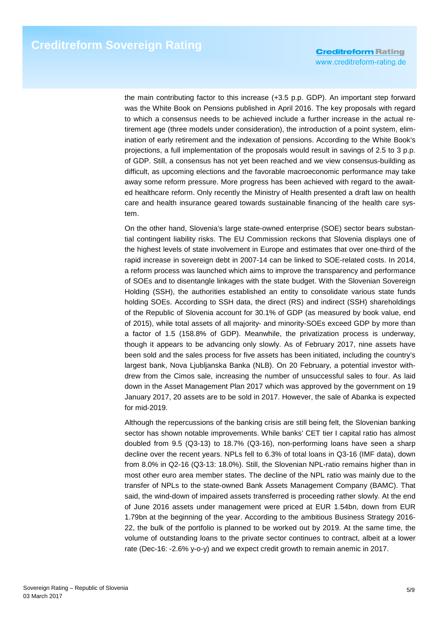the main contributing factor to this increase (+3.5 p.p. GDP). An important step forward was the White Book on Pensions published in April 2016. The key proposals with regard to which a consensus needs to be achieved include a further increase in the actual retirement age (three models under consideration), the introduction of a point system, elimination of early retirement and the indexation of pensions. According to the White Book's projections, a full implementation of the proposals would result in savings of 2.5 to 3 p.p. of GDP. Still, a consensus has not yet been reached and we view consensus-building as difficult, as upcoming elections and the favorable macroeconomic performance may take away some reform pressure. More progress has been achieved with regard to the awaited healthcare reform. Only recently the Ministry of Health presented a draft law on health care and health insurance geared towards sustainable financing of the health care system.

On the other hand, Slovenia's large state-owned enterprise (SOE) sector bears substantial contingent liability risks. The EU Commission reckons that Slovenia displays one of the highest levels of state involvement in Europe and estimates that over one-third of the rapid increase in sovereign debt in 2007-14 can be linked to SOE-related costs. In 2014, a reform process was launched which aims to improve the transparency and performance of SOEs and to disentangle linkages with the state budget. With the Slovenian Sovereign Holding (SSH), the authorities established an entity to consolidate various state funds holding SOEs. According to SSH data, the direct (RS) and indirect (SSH) shareholdings of the Republic of Slovenia account for 30.1% of GDP (as measured by book value, end of 2015), while total assets of all majority- and minority-SOEs exceed GDP by more than a factor of 1.5 (158.8% of GDP). Meanwhile, the privatization process is underway, though it appears to be advancing only slowly. As of February 2017, nine assets have been sold and the sales process for five assets has been initiated, including the country's largest bank, Nova Ljubljanska Banka (NLB). On 20 February, a potential investor withdrew from the Cimos sale, increasing the number of unsuccessful sales to four. As laid down in the Asset Management Plan 2017 which was approved by the government on 19 January 2017, 20 assets are to be sold in 2017. However, the sale of Abanka is expected for mid-2019.

Although the repercussions of the banking crisis are still being felt, the Slovenian banking sector has shown notable improvements. While banks' CET tier I capital ratio has almost doubled from 9.5 (Q3-13) to 18.7% (Q3-16), non-performing loans have seen a sharp decline over the recent years. NPLs fell to 6.3% of total loans in Q3-16 (IMF data), down from 8.0% in Q2-16 (Q3-13: 18.0%). Still, the Slovenian NPL-ratio remains higher than in most other euro area member states. The decline of the NPL ratio was mainly due to the transfer of NPLs to the state-owned Bank Assets Management Company (BAMC). That said, the wind-down of impaired assets transferred is proceeding rather slowly. At the end of June 2016 assets under management were priced at EUR 1.54bn, down from EUR 1.79bn at the beginning of the year. According to the ambitious Business Strategy 2016- 22, the bulk of the portfolio is planned to be worked out by 2019. At the same time, the volume of outstanding loans to the private sector continues to contract, albeit at a lower rate (Dec-16: -2.6% y-o-y) and we expect credit growth to remain anemic in 2017.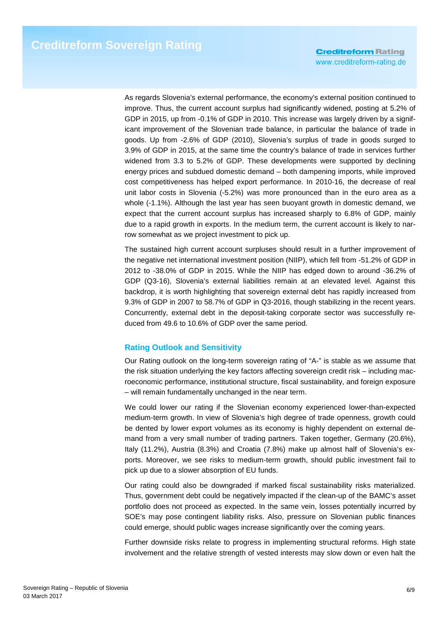**Creditreform Rating** www.creditreform-rating.de

As regards Slovenia's external performance, the economy's external position continued to improve. Thus, the current account surplus had significantly widened, posting at 5.2% of GDP in 2015, up from -0.1% of GDP in 2010. This increase was largely driven by a significant improvement of the Slovenian trade balance, in particular the balance of trade in goods. Up from -2.6% of GDP (2010), Slovenia's surplus of trade in goods surged to 3.9% of GDP in 2015, at the same time the country's balance of trade in services further widened from 3.3 to 5.2% of GDP. These developments were supported by declining energy prices and subdued domestic demand – both dampening imports, while improved cost competitiveness has helped export performance. In 2010-16, the decrease of real unit labor costs in Slovenia (-5.2%) was more pronounced than in the euro area as a whole (-1.1%). Although the last year has seen buoyant growth in domestic demand, we expect that the current account surplus has increased sharply to 6.8% of GDP, mainly due to a rapid growth in exports. In the medium term, the current account is likely to narrow somewhat as we project investment to pick up.

The sustained high current account surpluses should result in a further improvement of the negative net international investment position (NIIP), which fell from -51.2% of GDP in 2012 to -38.0% of GDP in 2015. While the NIIP has edged down to around -36.2% of GDP (Q3-16), Slovenia's external liabilities remain at an elevated level. Against this backdrop, it is worth highlighting that sovereign external debt has rapidly increased from 9.3% of GDP in 2007 to 58.7% of GDP in Q3-2016, though stabilizing in the recent years. Concurrently, external debt in the deposit-taking corporate sector was successfully reduced from 49.6 to 10.6% of GDP over the same period.

### **Rating Outlook and Sensitivity**

Our Rating outlook on the long-term sovereign rating of "A-" is stable as we assume that the risk situation underlying the key factors affecting sovereign credit risk – including macroeconomic performance, institutional structure, fiscal sustainability, and foreign exposure – will remain fundamentally unchanged in the near term.

We could lower our rating if the Slovenian economy experienced lower-than-expected medium-term growth. In view of Slovenia's high degree of trade openness, growth could be dented by lower export volumes as its economy is highly dependent on external demand from a very small number of trading partners. Taken together, Germany (20.6%), Italy (11.2%), Austria (8.3%) and Croatia (7.8%) make up almost half of Slovenia's exports. Moreover, we see risks to medium-term growth, should public investment fail to pick up due to a slower absorption of EU funds.

Our rating could also be downgraded if marked fiscal sustainability risks materialized. Thus, government debt could be negatively impacted if the clean-up of the BAMC's asset portfolio does not proceed as expected. In the same vein, losses potentially incurred by SOE's may pose contingent liability risks. Also, pressure on Slovenian public finances could emerge, should public wages increase significantly over the coming years.

Further downside risks relate to progress in implementing structural reforms. High state involvement and the relative strength of vested interests may slow down or even halt the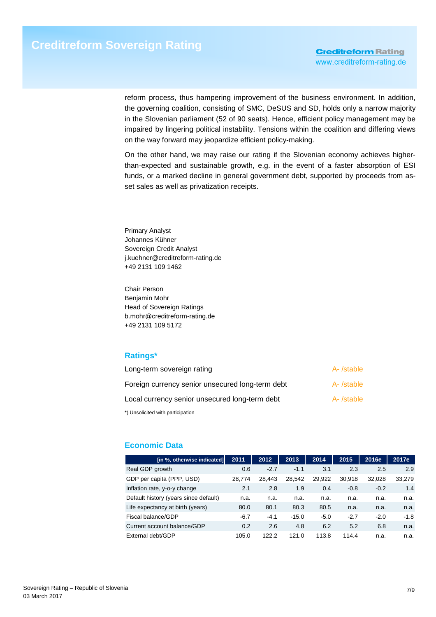reform process, thus hampering improvement of the business environment. In addition, the governing coalition, consisting of SMC, DeSUS and SD, holds only a narrow majority in the Slovenian parliament (52 of 90 seats). Hence, efficient policy management may be impaired by lingering political instability. Tensions within the coalition and differing views on the way forward may jeopardize efficient policy-making.

On the other hand, we may raise our rating if the Slovenian economy achieves higherthan-expected and sustainable growth, e.g. in the event of a faster absorption of ESI funds, or a marked decline in general government debt, supported by proceeds from asset sales as well as privatization receipts.

Primary Analyst Johannes Kühner Sovereign Credit Analyst j.kuehner@creditreform-rating.de +49 2131 109 1462

Chair Person Benjamin Mohr Head of Sovereign Ratings b.mohr@creditreform-rating.de +49 2131 109 5172

# **Ratings\***

| Long-term sovereign rating                       | A-/stable  |
|--------------------------------------------------|------------|
| Foreign currency senior unsecured long-term debt | A- /stable |
| Local currency senior unsecured long-term debt   | A- /stable |
| *) Unsolicited with participation                |            |

# **Economic Data**

| [in %, otherwise indicated]           | 2011   | 2012   | 2013    | 2014   | 2015   | 2016e  | 2017e  |
|---------------------------------------|--------|--------|---------|--------|--------|--------|--------|
| Real GDP growth                       | 0.6    | $-2.7$ | $-1.1$  | 3.1    | 2.3    | 2.5    | 2.9    |
| GDP per capita (PPP, USD)             | 28.774 | 28.443 | 28,542  | 29.922 | 30,918 | 32.028 | 33,279 |
| Inflation rate, y-o-y change          | 2.1    | 2.8    | 1.9     | 0.4    | $-0.8$ | $-0.2$ | 1.4    |
| Default history (years since default) | n.a.   | n.a.   | n.a.    | n.a.   | n.a.   | n.a.   | n.a.   |
| Life expectancy at birth (years)      | 80.0   | 80.1   | 80.3    | 80.5   | n.a.   | n.a.   | n.a.   |
| Fiscal balance/GDP                    | $-6.7$ | $-4.1$ | $-15.0$ | $-5.0$ | $-2.7$ | $-2.0$ | $-1.8$ |
| Current account balance/GDP           | 0.2    | 2.6    | 4.8     | 6.2    | 5.2    | 6.8    | n.a.   |
| External debt/GDP                     | 105.0  | 122.2  | 121.0   | 113.8  | 114.4  | n.a.   | n.a.   |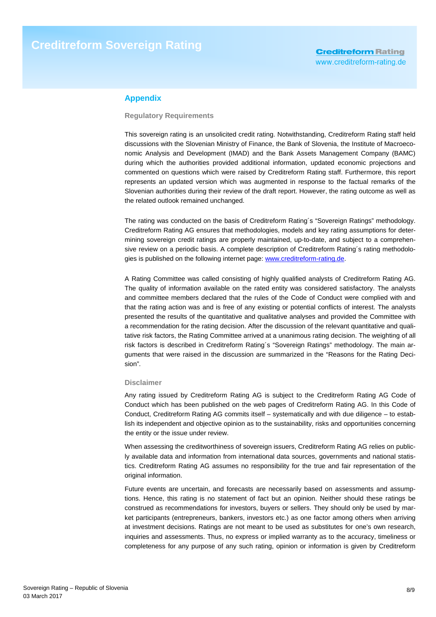## **Appendix**

#### **Regulatory Requirements**

This sovereign rating is an unsolicited credit rating. Notwithstanding, Creditreform Rating staff held discussions with the Slovenian Ministry of Finance, the Bank of Slovenia, the Institute of Macroeconomic Analysis and Development (IMAD) and the Bank Assets Management Company (BAMC) during which the authorities provided additional information, updated economic projections and commented on questions which were raised by Creditreform Rating staff. Furthermore, this report represents an updated version which was augmented in response to the factual remarks of the Slovenian authorities during their review of the draft report. However, the rating outcome as well as the related outlook remained unchanged.

The rating was conducted on the basis of Creditreform Rating´s "Sovereign Ratings" methodology. Creditreform Rating AG ensures that methodologies, models and key rating assumptions for determining sovereign credit ratings are properly maintained, up-to-date, and subject to a comprehensive review on a periodic basis. A complete description of Creditreform Rating´s rating methodologies is published on the following internet page: www.creditreform-rating.de.

A Rating Committee was called consisting of highly qualified analysts of Creditreform Rating AG. The quality of information available on the rated entity was considered satisfactory. The analysts and committee members declared that the rules of the Code of Conduct were complied with and that the rating action was and is free of any existing or potential conflicts of interest. The analysts presented the results of the quantitative and qualitative analyses and provided the Committee with a recommendation for the rating decision. After the discussion of the relevant quantitative and qualitative risk factors, the Rating Committee arrived at a unanimous rating decision. The weighting of all risk factors is described in Creditreform Rating´s "Sovereign Ratings" methodology. The main arguments that were raised in the discussion are summarized in the "Reasons for the Rating Decision".

#### **Disclaimer**

Any rating issued by Creditreform Rating AG is subject to the Creditreform Rating AG Code of Conduct which has been published on the web pages of Creditreform Rating AG. In this Code of Conduct, Creditreform Rating AG commits itself – systematically and with due diligence – to establish its independent and objective opinion as to the sustainability, risks and opportunities concerning the entity or the issue under review.

When assessing the creditworthiness of sovereign issuers, Creditreform Rating AG relies on publicly available data and information from international data sources, governments and national statistics. Creditreform Rating AG assumes no responsibility for the true and fair representation of the original information.

Future events are uncertain, and forecasts are necessarily based on assessments and assumptions. Hence, this rating is no statement of fact but an opinion. Neither should these ratings be construed as recommendations for investors, buyers or sellers. They should only be used by market participants (entrepreneurs, bankers, investors etc.) as one factor among others when arriving at investment decisions. Ratings are not meant to be used as substitutes for one's own research, inquiries and assessments. Thus, no express or implied warranty as to the accuracy, timeliness or completeness for any purpose of any such rating, opinion or information is given by Creditreform